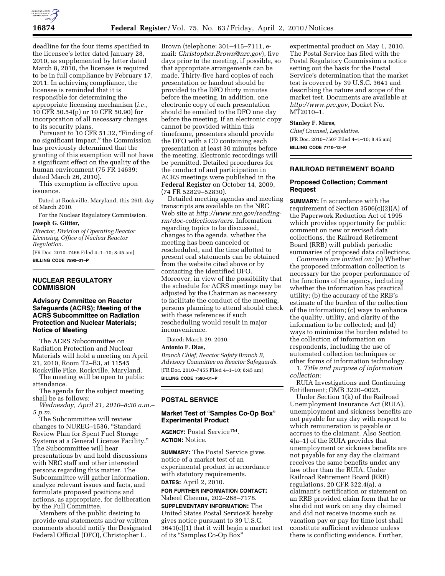

deadline for the four items specified in the licensee's letter dated January 28, 2010, as supplemented by letter dated March 8, 2010, the licensee is required to be in full compliance by February 17, 2011. In achieving compliance, the licensee is reminded that it is responsible for determining the appropriate licensing mechanism (*i.e.,*  10 CFR 50.54(p) or 10 CFR 50.90) for incorporation of all necessary changes to its security plans.

Pursuant to 10 CFR 51.32, "Finding of no significant impact,'' the Commission has previously determined that the granting of this exemption will not have a significant effect on the quality of the human environment (75 FR 14639; dated March 26, 2010).

This exemption is effective upon issuance.

Dated at Rockville, Maryland, this 26th day of March 2010.

For the Nuclear Regulatory Commission. **Joseph G. Giitter,** 

*Director, Division of Operating Reactor Licensing, Office of Nuclear Reactor Regulation.* 

[FR Doc. 2010–7466 Filed 4–1–10; 8:45 am] **BILLING CODE 7590–01–P** 

### **NUCLEAR REGULATORY COMMISSION**

## **Advisory Committee on Reactor Safeguards (ACRS); Meeting of the ACRS Subcommittee on Radiation Protection and Nuclear Materials; Notice of Meeting**

The ACRS Subcommittee on Radiation Protection and Nuclear Materials will hold a meeting on April 21, 2010, Room T2–B3, at 11545 Rockville Pike, Rockville, Maryland.

The meeting will be open to public attendance.

The agenda for the subject meeting shall be as follows:

*Wednesday, April 21, 2010–8:30 a.m.– 5 p.m.* 

The Subcommittee will review changes to NUREG–1536, ''Standard Review Plan for Spent Fuel Storage Systems at a General License Facility.'' The Subcommittee will hear presentations by and hold discussions with NRC staff and other interested persons regarding this matter. The Subcommittee will gather information, analyze relevant issues and facts, and formulate proposed positions and actions, as appropriate, for deliberation by the Full Committee.

Members of the public desiring to provide oral statements and/or written comments should notify the Designated Federal Official (DFO), Christopher L.

Brown (telephone: 301–415–7111, email: *Christopher.Brown@nrc.gov*), five days prior to the meeting, if possible, so that appropriate arrangements can be made. Thirty-five hard copies of each presentation or handout should be provided to the DFO thirty minutes before the meeting. In addition, one electronic copy of each presentation should be emailed to the DFO one day before the meeting. If an electronic copy cannot be provided within this timeframe, presenters should provide the DFO with a CD containing each presentation at least 30 minutes before the meeting. Electronic recordings will be permitted. Detailed procedures for the conduct of and participation in ACRS meetings were published in the **Federal Register** on October 14, 2009, (74 FR 52829–52830).

Detailed meeting agendas and meeting transcripts are available on the NRC Web site at *http://www.nrc.gov/readingrm/doc-collections/acrs.* Information regarding topics to be discussed, changes to the agenda, whether the meeting has been canceled or rescheduled, and the time allotted to present oral statements can be obtained from the website cited above or by contacting the identified DFO. Moreover, in view of the possibility that the schedule for ACRS meetings may be adjusted by the Chairman as necessary to facilitate the conduct of the meeting, persons planning to attend should check with these references if such rescheduling would result in major inconvenience.

Dated: March 29, 2010.

**Antonio F. Dias,** 

*Branch Chief, Reactor Safety Branch B, Advisory Committee on Reactor Safeguards.*  [FR Doc. 2010–7455 Filed 4–1–10; 8:45 am] **BILLING CODE 7590–01–P** 

#### **POSTAL SERVICE**

# **Market Test of** ''**Samples Co-Op Box**'' **Experimental Product**

**AGENCY:** Postal ServiceTM. **ACTION:** Notice.

**SUMMARY:** The Postal Service gives notice of a market test of an experimental product in accordance with statutory requirements. **DATES:** April 2, 2010.

**FOR FURTHER INFORMATION CONTACT:**  Nabeel Cheema, 202–268–7178.

**SUPPLEMENTARY INFORMATION:** The United States Postal Service® hereby gives notice pursuant to 39 U.S.C. 3641(c)(1) that it will begin a market test of its ''Samples Co-Op Box''

experimental product on May 1, 2010. The Postal Service has filed with the Postal Regulatory Commission a notice setting out the basis for the Postal Service's determination that the market test is covered by 39 U.S.C. 3641 and describing the nature and scope of the market test. Documents are available at *http://www.prc.gov,* Docket No. MT2010–1.

### **Stanley F. Mires,**

*Chief Counsel, Legislative.*  [FR Doc. 2010–7507 Filed 4–1–10; 8:45 am] **BILLING CODE 7710–12–P** 

# **RAILROAD RETIREMENT BOARD**

### **Proposed Collection; Comment Request**

**SUMMARY:** In accordance with the requirement of Section 3506(c)(2)(A) of the Paperwork Reduction Act of 1995 which provides opportunity for public comment on new or revised data collections, the Railroad Retirement Board (RRB) will publish periodic summaries of proposed data collections.

*Comments are invited on:* (a) Whether the proposed information collection is necessary for the proper performance of the functions of the agency, including whether the information has practical utility; (b) the accuracy of the RRB's estimate of the burden of the collection of the information; (c) ways to enhance the quality, utility, and clarity of the information to be collected; and (d) ways to minimize the burden related to the collection of information on respondents, including the use of automated collection techniques or other forms of information technology.

1. *Title and purpose of information collection:* 

RUIA Investigations and Continuing Entitlement; OMB 3220–0025.

Under Section 1(k) of the Railroad Unemployment Insurance Act (RUIA), unemployment and sickness benefits are not payable for any day with respect to which remuneration is payable or accrues to the claimant. Also Section 4(a–1) of the RUIA provides that unemployment or sickness benefits are not payable for any day the claimant receives the same benefits under any law other than the RUIA. Under Railroad Retirement Board (RRB) regulations, 20 CFR 322.4(a), a claimant's certification or statement on an RRB provided claim form that he or she did not work on any day claimed and did not receive income such as vacation pay or pay for time lost shall constitute sufficient evidence unless there is conflicting evidence. Further,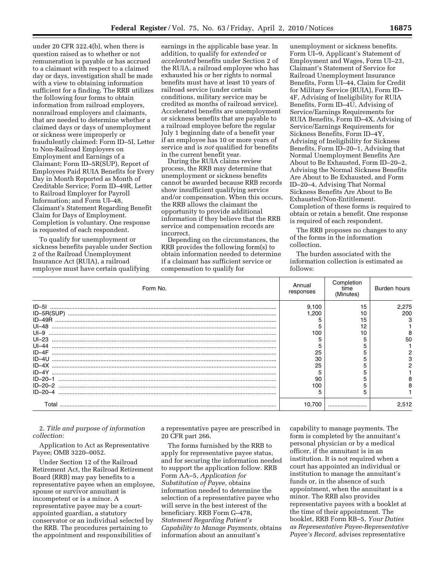under 20 CFR 322.4(b), when there is question raised as to whether or not remuneration is payable or has accrued to a claimant with respect to a claimed day or days, investigation shall be made with a view to obtaining information sufficient for a finding. The RRB utilizes the following four forms to obtain information from railroad employers, nonrailroad employers and claimants, that are needed to determine whether a claimed days or days of unemployment or sickness were improperly or fraudulently claimed: Form ID–5I, Letter to Non-Railroad Employers on Employment and Earnings of a Claimant; Form ID–5R(SUP), Report of Employees Paid RUIA Benefits for Every Day in Month Reported as Month of Creditable Service; Form ID–49R, Letter to Railroad Employer for Payroll Information; and Form UI–48, Claimant's Statement Regarding Benefit Claim for Days of Employment. Completion is voluntary. One response is requested of each respondent.

To qualify for unemployment or sickness benefits payable under Section 2 of the Railroad Unemployment Insurance Act (RUIA), a railroad employee must have certain qualifying

earnings in the applicable base year. In addition, to qualify for *extended* or *accelerated* benefits under Section 2 of the RUIA, a railroad employee who has exhausted his or her rights to normal benefits must have at least 10 years of railroad service (under certain conditions, military service may be credited as months of railroad service). Accelerated benefits are unemployment or sickness benefits that are payable to a railroad employee before the regular July 1 beginning date of a benefit year if an employee has 10 or more years of service and is *not* qualified for benefits in the current benefit year.

During the RUIA claims review process, the RRB may determine that unemployment or sickness benefits cannot be awarded because RRB records show insufficient qualifying service and/or compensation. When this occurs, the RRB allows the claimant the opportunity to provide additional information if they believe that the RRB service and compensation records are incorrect.

Depending on the circumstances, the RRB provides the following form(s) to obtain information needed to determine if a claimant has sufficient service or compensation to qualify for

unemployment or sickness benefits. Form UI–9, Applicant's Statement of Employment and Wages, Form UI–23, Claimant's Statement of Service for Railroad Unemployment Insurance Benefits, Form UI–44, Claim for Credit for Military Service (RUIA), Form ID– 4F, Advising of Ineligibility for RUIA Benefits, Form ID–4U, Advising of Service/Earnings Requirements for RUIA Benefits, Form ID–4X, Advising of Service/Earnings Requirements for Sickness Benefits, Form ID–4Y, Advising of Ineligibility for Sickness Benefits, Form ID–20–1, Advising that Normal Unemployment Benefits Are About to Be Exhausted, Form ID–20–2, Advising the Normal Sickness Benefits Are About to Be Exhausted, and Form ID–20–4, Advising That Normal Sickness Benefits Are About to Be Exhausted/Non-Entitlement. Completion of these forms is required to obtain or retain a benefit. One response is required of each respondent.

The RRB proposes no changes to any of the forms in the information collection.

The burden associated with the information collection is estimated as follows:

| Form No.      | Annual<br>responses | Completion<br>time<br>(Minutes) | Burden hours |
|---------------|---------------------|---------------------------------|--------------|
| $ID-5I$       | 9.100               | 15                              | 2,275        |
|               | .200                |                                 | 200          |
| $ID-49R$      |                     | 15                              |              |
| $U = 48$      |                     | 12                              |              |
| $UI - 9$      | 100                 |                                 |              |
| $UI-23$       |                     |                                 | 50           |
| $U$ -44       |                     |                                 |              |
| $ID-4F$       | 25                  |                                 |              |
|               | 30                  |                                 |              |
|               | 25                  |                                 |              |
| $ID - 4Y$     |                     |                                 |              |
| $ID - 20 - 1$ | 90                  |                                 |              |
|               | 100                 |                                 |              |
| $ID - 20 - 4$ |                     |                                 |              |
| Г∩tal         |                     |                                 | 2,512        |

2. *Title and purpose of information collection:* 

Application to Act as Representative Payee; OMB 3220–0052.

Under Section 12 of the Railroad Retirement Act, the Railroad Retirement Board (RRB) may pay benefits to a representative payee when an employee, spouse or survivor annuitant is incompetent or is a minor. A representative payee may be a courtappointed guardian, a statutory conservator or an individual selected by the RRB. The procedures pertaining to the appointment and responsibilities of

a representative payee are prescribed in 20 CFR part 266.

The forms furnished by the RRB to apply for representative payee status, and for securing the information needed to support the application follow. RRB Form AA–5, *Application for Substitution of Payee,* obtains information needed to determine the selection of a representative payee who will serve in the best interest of the beneficiary. RRB Form G–478, *Statement Regarding Patient's Capability to Manage Payments,* obtains information about an annuitant's

capability to manage payments. The form is completed by the annuitant's personal physician or by a medical officer, if the annuitant is in an institution. It is not required when a court has appointed an individual or institution to manage the annuitant's funds or, in the absence of such appointment, when the annuitant is a minor. The RRB also provides representative payees with a booklet at the time of their appointment. The booklet, RRB Form RB–5, *Your Duties as Representative Payee-Representative Payee's Record,* advises representative